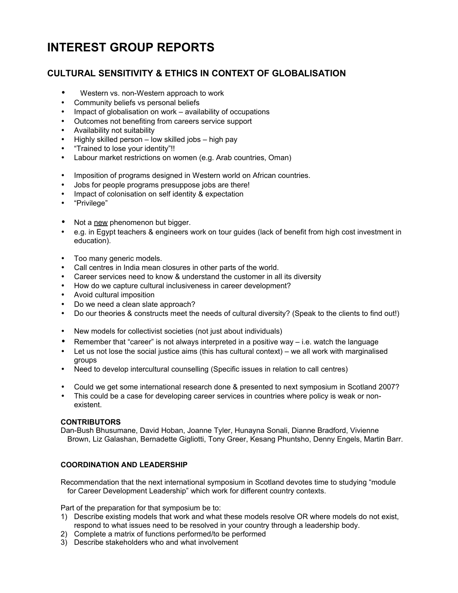# **INTEREST GROUP REPORTS**

## **CULTURAL SENSITIVITY & ETHICS IN CONTEXT OF GLOBALISATION**

- Western vs. non-Western approach to work
- Community beliefs vs personal beliefs
- Impact of globalisation on work availability of occupations
- Outcomes not benefiting from careers service support
- Availability not suitability
- Highly skilled person low skilled jobs high pay
- "Trained to lose your identity"!!
- Labour market restrictions on women (e.g. Arab countries, Oman)
- Imposition of programs designed in Western world on African countries.
- Jobs for people programs presuppose jobs are there!
- Impact of colonisation on self identity & expectation
- "Privilege"
- Not a new phenomenon but bigger.
- e.g. in Egypt teachers & engineers work on tour guides (lack of benefit from high cost investment in education).
- Too many generic models.
- Call centres in India mean closures in other parts of the world.
- Career services need to know & understand the customer in all its diversity
- How do we capture cultural inclusiveness in career development?
- Avoid cultural imposition
- Do we need a clean slate approach?
- Do our theories & constructs meet the needs of cultural diversity? (Speak to the clients to find out!)
- New models for collectivist societies (not just about individuals)
- Remember that "career" is not always interpreted in a positive way  $-$  i.e. watch the language
- Let us not lose the social justice aims (this has cultural context) we all work with marginalised groups
- Need to develop intercultural counselling (Specific issues in relation to call centres)
- Could we get some international research done & presented to next symposium in Scotland 2007?
- This could be a case for developing career services in countries where policy is weak or nonexistent.

#### **CONTRIBUTORS**

Dan-Bush Bhusumane, David Hoban, Joanne Tyler, Hunayna Sonali, Dianne Bradford, Vivienne Brown, Liz Galashan, Bernadette Gigliotti, Tony Greer, Kesang Phuntsho, Denny Engels, Martin Barr.

### **COORDINATION AND LEADERSHIP**

Recommendation that the next international symposium in Scotland devotes time to studying "module for Career Development Leadership" which work for different country contexts.

Part of the preparation for that symposium be to:

- 1) Describe existing models that work and what these models resolve OR where models do not exist, respond to what issues need to be resolved in your country through a leadership body.
- 2) Complete a matrix of functions performed/to be performed
- 3) Describe stakeholders who and what involvement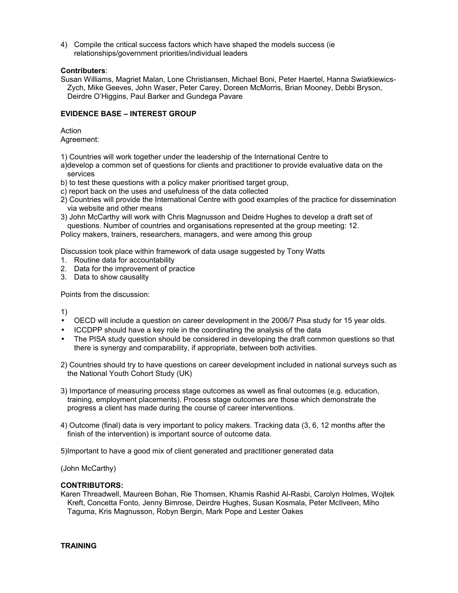4) Compile the critical success factors which have shaped the models success (ie relationships/government priorities/individual leaders

#### **Contributers**:

Susan Williams, Magriet Malan, Lone Christiansen, Michael Boni, Peter Haertel, Hanna Swiatkiewics-Zych, Mike Geeves, John Waser, Peter Carey, Doreen McMorris, Brian Mooney, Debbi Bryson, Deirdre O'Higgins, Paul Barker and Gundega Pavare

#### **EVIDENCE BASE – INTEREST GROUP**

Action Agreement:

1) Countries will work together under the leadership of the International Centre to

- a)develop a common set of questions for clients and practitioner to provide evaluative data on the services
- b) to test these questions with a policy maker prioritised target group,
- c) report back on the uses and usefulness of the data collected
- 2) Countries will provide the International Centre with good examples of the practice for dissemination via website and other means
- 3) John McCarthy will work with Chris Magnusson and Deidre Hughes to develop a draft set of questions. Number of countries and organisations represented at the group meeting: 12.

Policy makers, trainers, researchers, managers, and were among this group

Discussion took place within framework of data usage suggested by Tony Watts

- 1. Routine data for accountability
- 2. Data for the improvement of practice
- 3. Data to show causality

Points from the discussion:

1)

- OECD will include a question on career development in the 2006/7 Pisa study for 15 year olds.
- ICCDPP should have a key role in the coordinating the analysis of the data
- The PISA study question should be considered in developing the draft common questions so that there is synergy and comparability, if appropriate, between both activities.
- 2) Countries should try to have questions on career development included in national surveys such as the National Youth Cohort Study (UK)
- 3) Importance of measuring process stage outcomes as wwell as final outcomes (e.g. education, training, employment placements). Process stage outcomes are those which demonstrate the progress a client has made during the course of career interventions.
- 4) Outcome (final) data is very important to policy makers. Tracking data (3, 6, 12 months after the finish of the intervention) is important source of outcome data.

5)Important to have a good mix of client generated and practitioner generated data

(John McCarthy)

#### **CONTRIBUTORS:**

Karen Threadwell, Maureen Bohan, Rie Thomsen, Khamis Rashid Al-Rasbi, Carolyn Holmes, Wojtek Kreft, Concetta Fonto, Jenny Bimrose, Deirdre Hughes, Susan Kosmala, Peter McIlveen, Miho Taguma, Kris Magnusson, Robyn Bergin, Mark Pope and Lester Oakes